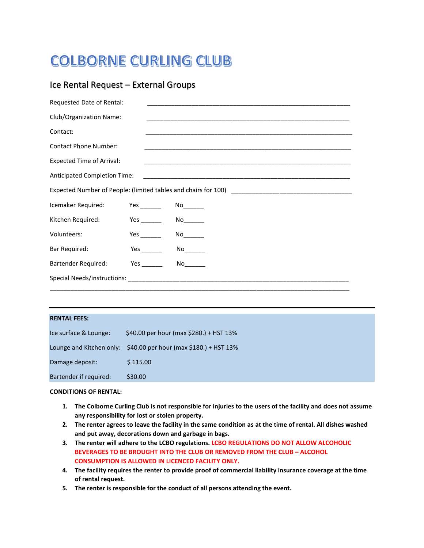# **COLBORNE CURLING CLUB**

## Ice Rental Request – External Groups

| Requested Date of Rental:        |                                                                                                                                                                                                                                     |                                                                                                                 |  |  |  |
|----------------------------------|-------------------------------------------------------------------------------------------------------------------------------------------------------------------------------------------------------------------------------------|-----------------------------------------------------------------------------------------------------------------|--|--|--|
| Club/Organization Name:          |                                                                                                                                                                                                                                     |                                                                                                                 |  |  |  |
| Contact:                         |                                                                                                                                                                                                                                     |                                                                                                                 |  |  |  |
| <b>Contact Phone Number:</b>     |                                                                                                                                                                                                                                     |                                                                                                                 |  |  |  |
| <b>Expected Time of Arrival:</b> |                                                                                                                                                                                                                                     |                                                                                                                 |  |  |  |
|                                  |                                                                                                                                                                                                                                     |                                                                                                                 |  |  |  |
|                                  |                                                                                                                                                                                                                                     |                                                                                                                 |  |  |  |
| Icemaker Required:               |                                                                                                                                                                                                                                     |                                                                                                                 |  |  |  |
| Kitchen Required:                |                                                                                                                                                                                                                                     | $Yes$ $No$                                                                                                      |  |  |  |
| Volunteers:                      |                                                                                                                                                                                                                                     | No control of the set of the set of the set of the set of the set of the set of the set of the set of the set o |  |  |  |
| Bar Required:                    | <b>Yes</b>                                                                                                                                                                                                                          |                                                                                                                 |  |  |  |
| <b>Bartender Required:</b>       | <b>Yes</b> and the set of the set of the set of the set of the set of the set of the set of the set of the set of the set of the set of the set of the set of the set of the set of the set of the set of the set of the set of the |                                                                                                                 |  |  |  |
|                                  |                                                                                                                                                                                                                                     |                                                                                                                 |  |  |  |

### **RENTAL FEES:**

| Ice surface & Lounge:  | \$40.00 per hour (max \$280.) + HST 13%                          |
|------------------------|------------------------------------------------------------------|
|                        | Lounge and Kitchen only: \$40.00 per hour (max \$180.) + HST 13% |
| Damage deposit:        | \$115.00                                                         |
| Bartender if required: | \$30.00                                                          |

#### **CONDITIONS OF RENTAL:**

- **1. The Colborne Curling Club is not responsible for injuries to the users of the facility and does not assume any responsibility for lost or stolen property.**
- **2. The renter agrees to leave the facility in the same condition as at the time of rental. All dishes washed and put away, decorations down and garbage in bags.**
- **3. The renter will adhere to the LCBO regulations. LCBO REGULATIONS DO NOT ALLOW ALCOHOLIC BEVERAGES TO BE BROUGHT INTO THE CLUB OR REMOVED FROM THE CLUB – ALCOHOL CONSUMPTION IS ALLOWED IN LICENCED FACILITY ONLY.**
- **4. The facility requires the renter to provide proof of commercial liability insurance coverage at the time of rental request.**
- **5. The renter is responsible for the conduct of all persons attending the event.**